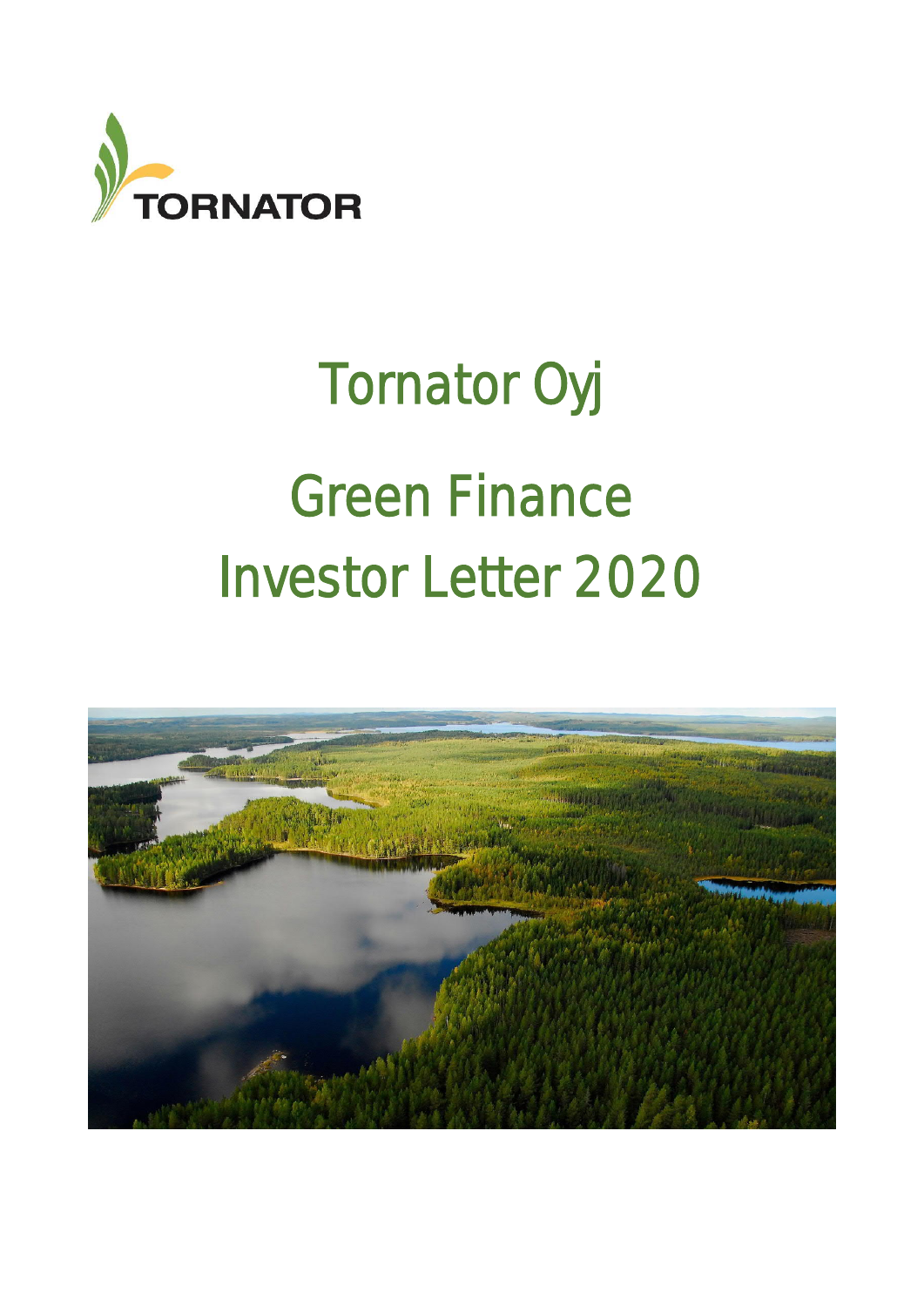

# Tornator Oyj Green Finance Investor Letter 2020

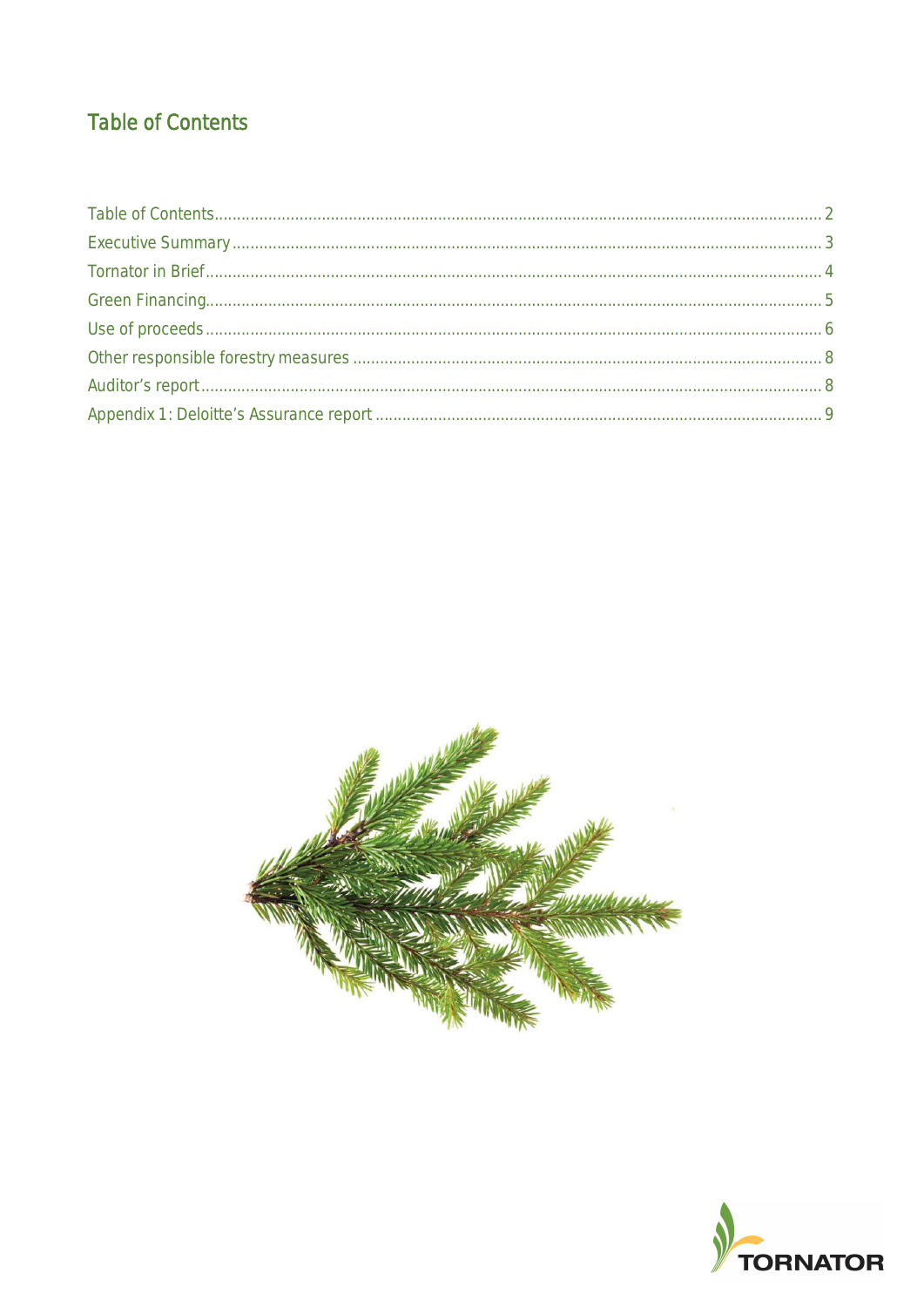# **Table of Contents**



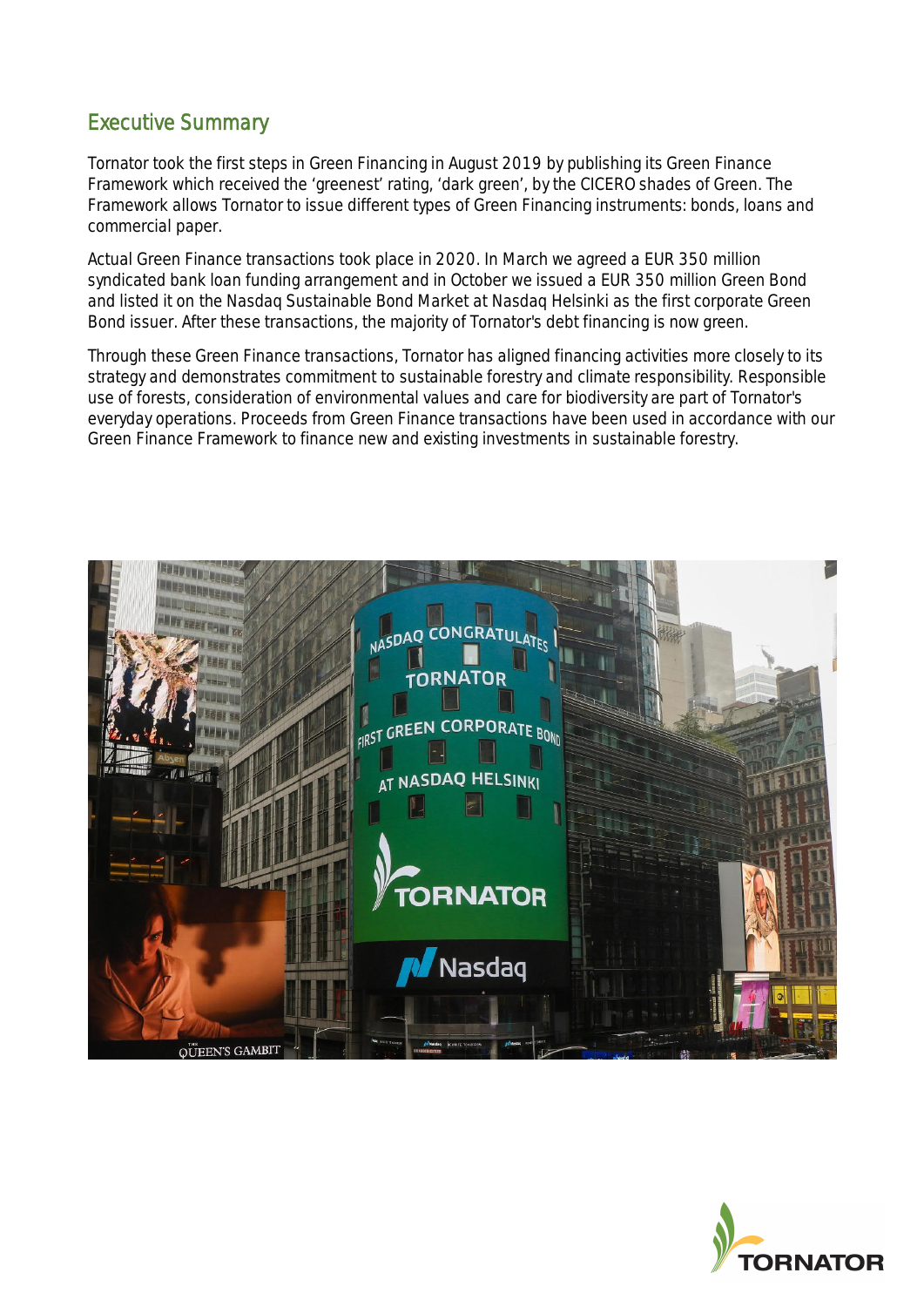# Executive Summary

Tornator took the first steps in Green Financing in August 2019 by publishing its Green Finance Framework which received the 'greenest' rating, 'dark green', by the CICERO shades of Green. The Framework allows Tornator to issue different types of Green Financing instruments: bonds, loans and commercial paper.

Actual Green Finance transactions took place in 2020. In March we agreed a EUR 350 million syndicated bank loan funding arrangement and in October we issued a EUR 350 million Green Bond and listed it on the Nasdaq Sustainable Bond Market at Nasdaq Helsinki as the first corporate Green Bond issuer. After these transactions, the majority of Tornator's debt financing is now green.

Through these Green Finance transactions, Tornator has aligned financing activities more closely to its strategy and demonstrates commitment to sustainable forestry and climate responsibility. Responsible use of forests, consideration of environmental values and care for biodiversity are part of Tornator's everyday operations. Proceeds from Green Finance transactions have been used in accordance with our Green Finance Framework to finance new and existing investments in sustainable forestry.



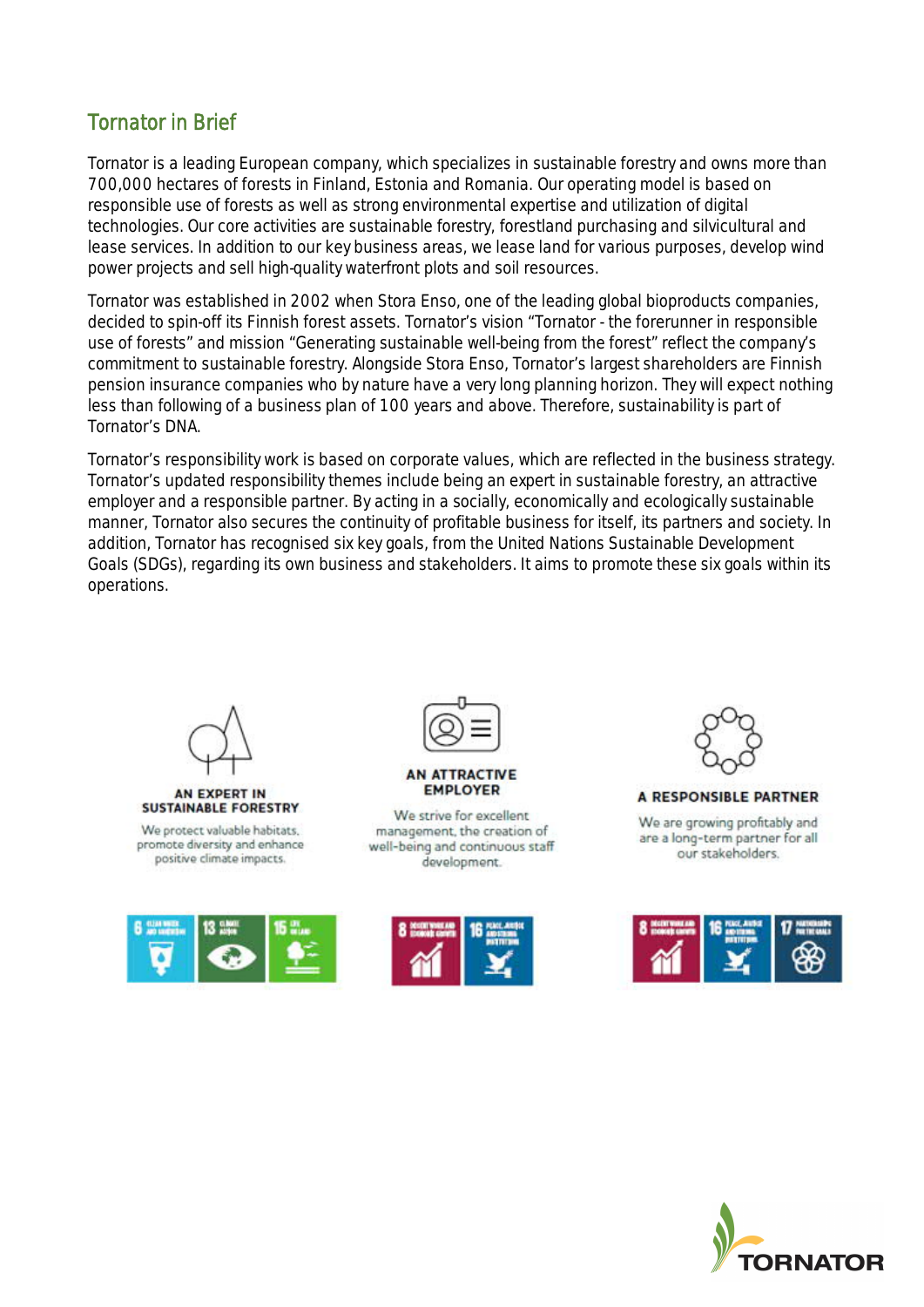# Tornator in Brief

Tornator is a leading European company, which specializes in sustainable forestry and owns more than 700,000 hectares of forests in Finland, Estonia and Romania. Our operating model is based on responsible use of forests as well as strong environmental expertise and utilization of digital technologies. Our core activities are sustainable forestry, forestland purchasing and silvicultural and lease services. In addition to our key business areas, we lease land for various purposes, develop wind power projects and sell high-quality waterfront plots and soil resources.

Tornator was established in 2002 when Stora Enso, one of the leading global bioproducts companies, decided to spin-off its Finnish forest assets. Tornator's vision "Tornator - the forerunner in responsible use of forests" and mission "Generating sustainable well-being from the forest" reflect the company's commitment to sustainable forestry. Alongside Stora Enso, Tornator's largest shareholders are Finnish pension insurance companies who by nature have a very long planning horizon. They will expect nothing less than following of a business plan of 100 years and above. Therefore, sustainability is part of Tornator's DNA.

Tornator's responsibility work is based on corporate values, which are reflected in the business strategy. Tornator's updated responsibility themes include being an expert in sustainable forestry, an attractive employer and a responsible partner. By acting in a socially, economically and ecologically sustainable manner, Tornator also secures the continuity of profitable business for itself, its partners and society. In addition, Tornator has recognised six key goals, from the United Nations Sustainable Development Goals (SDGs), regarding its own business and stakeholders. It aims to promote these six goals within its operations.



#### AN EXPERT IN **SUSTAINABLE FORESTRY**

We protect valuable habitats. promote diversity and enhance positive climate impacts.





#### **AN ATTRACTIVE EMPLOYER**

We strive for excellent management, the creation of well-being and continuous staff development.





#### **A RESPONSIBLE PARTNER**

We are growing profitably and are a long-term partner for all our stakeholders.



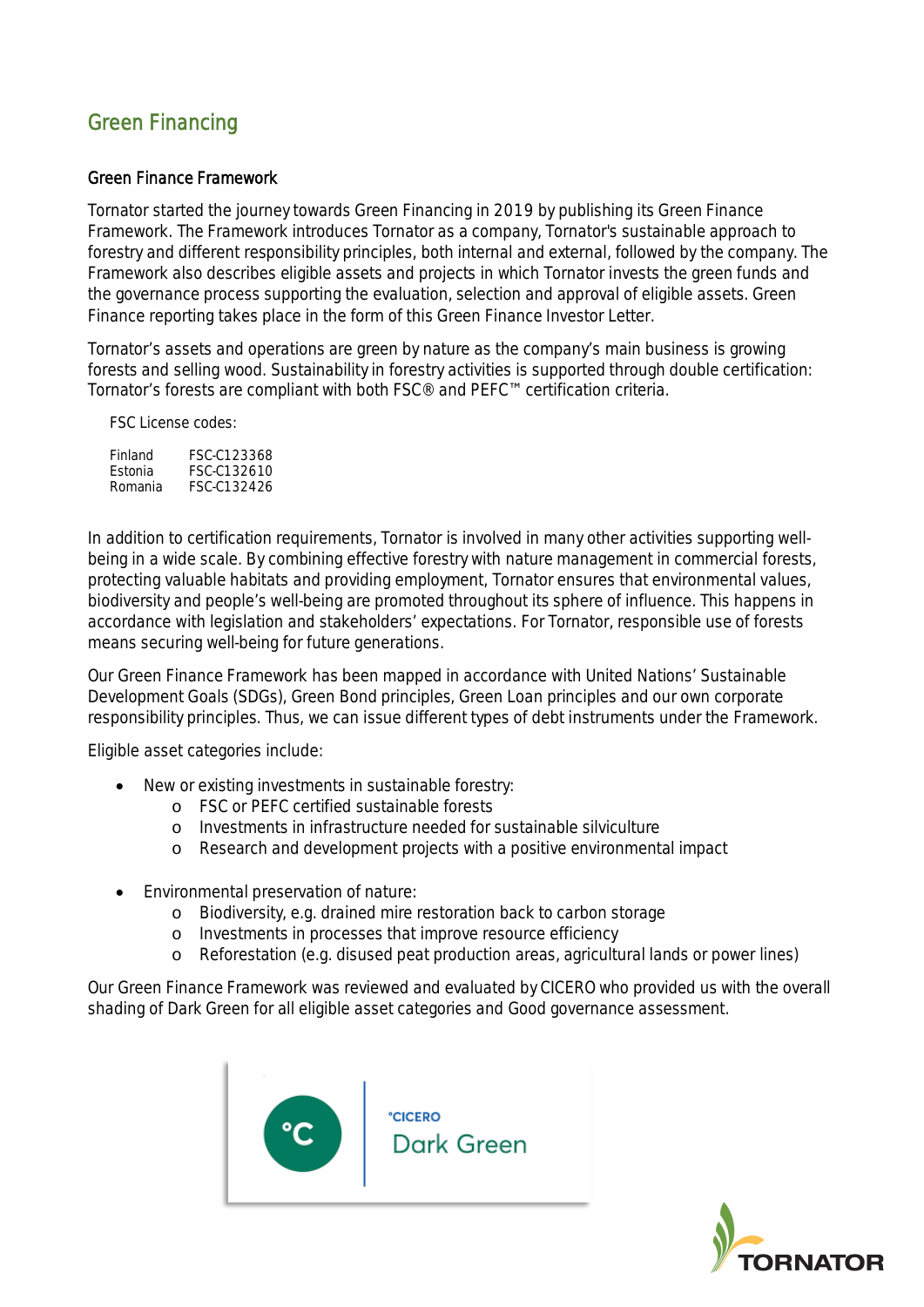# Green Financing

### Green Finance Framework

Tornator started the journey towards Green Financing in 2019 by publishing its Green Finance Framework. The Framework introduces Tornator as a company, Tornator's sustainable approach to forestry and different responsibility principles, both internal and external, followed by the company. The Framework also describes eligible assets and projects in which Tornator invests the green funds and the governance process supporting the evaluation, selection and approval of eligible assets. Green Finance reporting takes place in the form of this Green Finance Investor Letter.

Tornator's assets and operations are green by nature as the company's main business is growing forests and selling wood. Sustainability in forestry activities is supported through double certification: Tornator's forests are compliant with both FSC® and PEFC™ certification criteria.

FSC License codes:

| Finland | FSC-C123368 |
|---------|-------------|
| Estonia | FSC-C132610 |
| Romania | FSC-C132426 |

In addition to certification requirements, Tornator is involved in many other activities supporting wellbeing in a wide scale. By combining effective forestry with nature management in commercial forests, protecting valuable habitats and providing employment, Tornator ensures that environmental values, biodiversity and people's well-being are promoted throughout its sphere of influence. This happens in accordance with legislation and stakeholders' expectations. For Tornator, responsible use of forests means securing well-being for future generations.

Our Green Finance Framework has been mapped in accordance with United Nations' Sustainable Development Goals (SDGs), Green Bond principles, Green Loan principles and our own corporate responsibility principles. Thus, we can issue different types of debt instruments under the Framework.

Eligible asset categories include:

- New or existing investments in sustainable forestry:
	- o FSC or PEFC certified sustainable forests
	- o Investments in infrastructure needed for sustainable silviculture
	- o Research and development projects with a positive environmental impact
- · Environmental preservation of nature:
	- o Biodiversity, e.g. drained mire restoration back to carbon storage
	- o Investments in processes that improve resource efficiency
	- o Reforestation (e.g. disused peat production areas, agricultural lands or power lines)

Our Green Finance Framework was reviewed and evaluated by CICERO who provided us with the overall shading of Dark Green for all eligible asset categories and Good governance assessment.



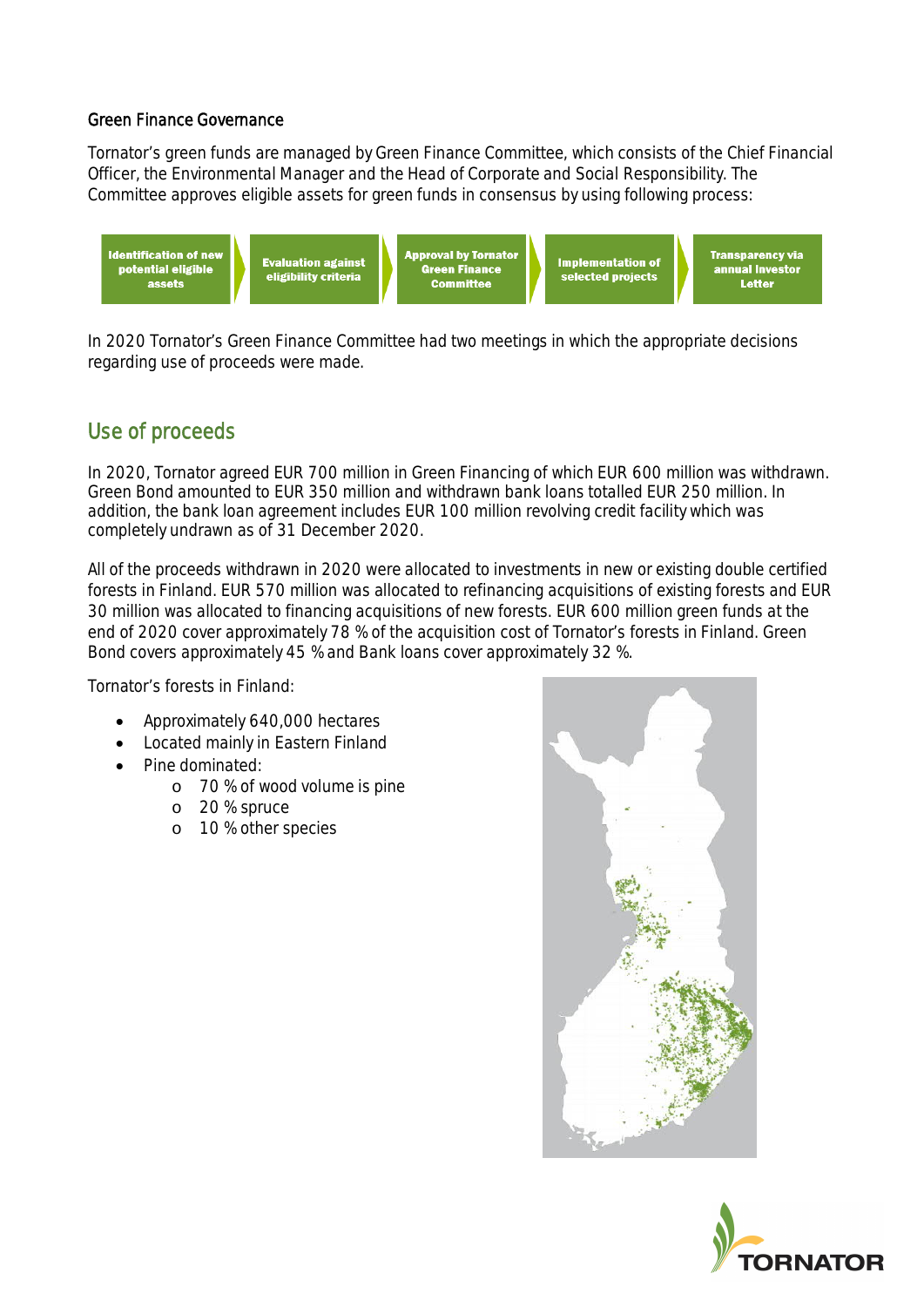### Green Finance Governance

Tornator's green funds are managed by Green Finance Committee, which consists of the Chief Financial Officer, the Environmental Manager and the Head of Corporate and Social Responsibility. The Committee approves eligible assets for green funds in consensus by using following process:



In 2020 Tornator's Green Finance Committee had two meetings in which the appropriate decisions regarding use of proceeds were made.

# Use of proceeds

In 2020, Tornator agreed EUR 700 million in Green Financing of which EUR 600 million was withdrawn. Green Bond amounted to EUR 350 million and withdrawn bank loans totalled EUR 250 million. In addition, the bank loan agreement includes EUR 100 million revolving credit facility which was completely undrawn as of 31 December 2020.

All of the proceeds withdrawn in 2020 were allocated to investments in new or existing double certified forests in Finland. EUR 570 million was allocated to refinancing acquisitions of existing forests and EUR 30 million was allocated to financing acquisitions of new forests. EUR 600 million green funds at the end of 2020 cover approximately 78 % of the acquisition cost of Tornator's forests in Finland. Green Bond covers approximately 45 % and Bank loans cover approximately 32 %.

Tornator's forests in Finland:

- Approximately 640,000 hectares
- · Located mainly in Eastern Finland
- · Pine dominated:
	- o 70 % of wood volume is pine
	- o 20 % spruce
	- o 10 % other species



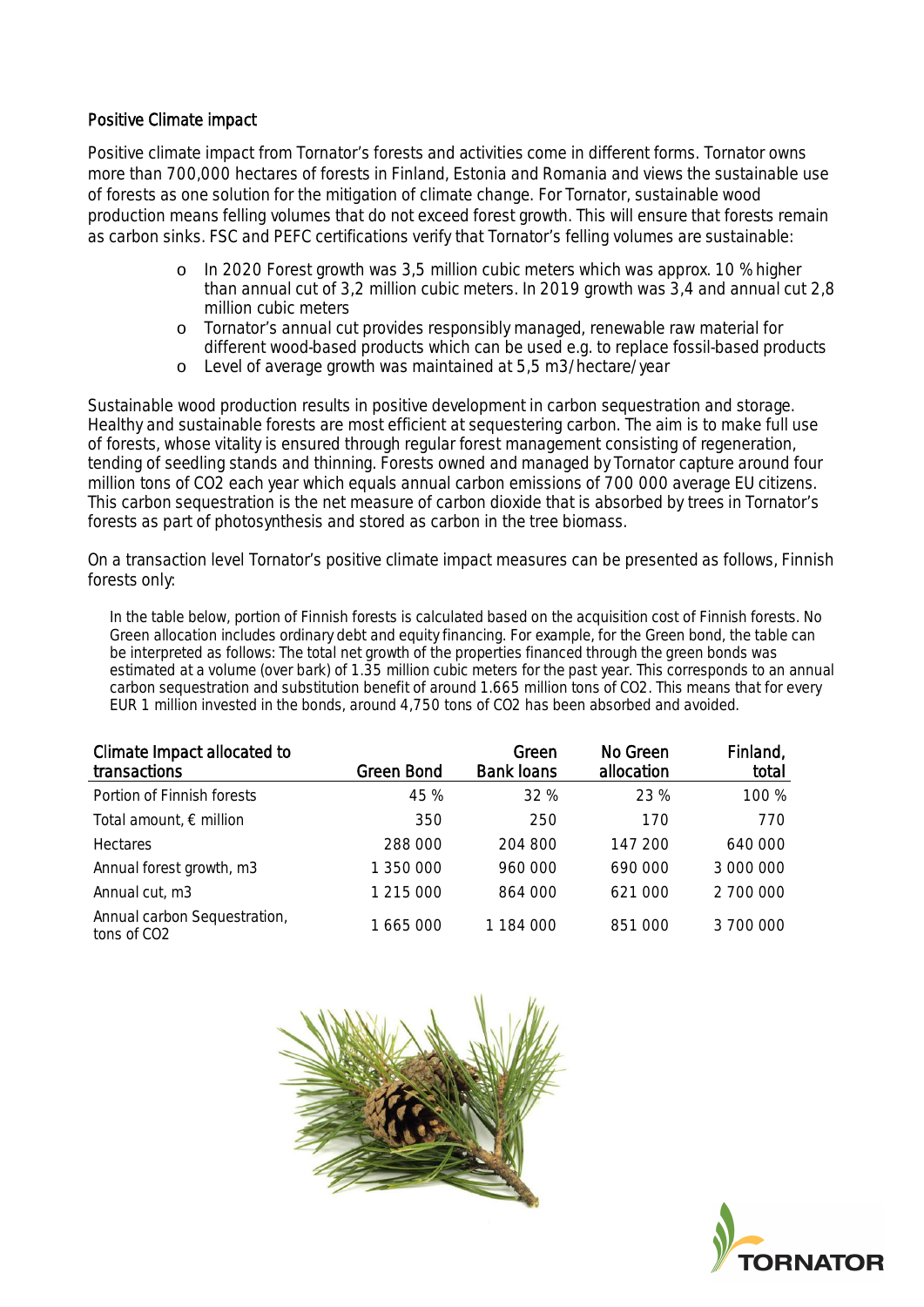## Positive Climate impact

Positive climate impact from Tornator's forests and activities come in different forms. Tornator owns more than 700,000 hectares of forests in Finland, Estonia and Romania and views the sustainable use of forests as one solution for the mitigation of climate change. For Tornator, sustainable wood production means felling volumes that do not exceed forest growth. This will ensure that forests remain as carbon sinks. FSC and PEFC certifications verify that Tornator's felling volumes are sustainable:

- o In 2020 Forest growth was 3,5 million cubic meters which was approx. 10 % higher than annual cut of 3,2 million cubic meters. In 2019 growth was 3,4 and annual cut 2,8 million cubic meters
- o Tornator's annual cut provides responsibly managed, renewable raw material for different wood-based products which can be used e.g. to replace fossil-based products
- o Level of average growth was maintained at 5,5 m3/hectare/year

Sustainable wood production results in positive development in carbon sequestration and storage. Healthy and sustainable forests are most efficient at sequestering carbon. The aim is to make full use of forests, whose vitality is ensured through regular forest management consisting of regeneration, tending of seedling stands and thinning. Forests owned and managed by Tornator capture around four million tons of CO2 each year which equals annual carbon emissions of 700 000 average EU citizens. This carbon sequestration is the net measure of carbon dioxide that is absorbed by trees in Tornator's forests as part of photosynthesis and stored as carbon in the tree biomass.

On a transaction level Tornator's positive climate impact measures can be presented as follows, Finnish forests only:

In the table below, portion of Finnish forests is calculated based on the acquisition cost of Finnish forests. No Green allocation includes ordinary debt and equity financing. For example, for the Green bond, the table can be interpreted as follows: The total net growth of the properties financed through the green bonds was estimated at a volume (over bark) of 1.35 million cubic meters for the past year. This corresponds to an annual carbon sequestration and substitution benefit of around 1.665 million tons of CO2. This means that for every EUR 1 million invested in the bonds, around 4,750 tons of CO2 has been absorbed and avoided.

| Climate Impact allocated to<br>transactions             | <b>Green Bond</b> | Green<br><b>Bank loans</b> | No Green<br>allocation | Finland,<br>total |
|---------------------------------------------------------|-------------------|----------------------------|------------------------|-------------------|
| Portion of Finnish forests                              | 45 %              | 32 %                       | 23 %                   | 100 %             |
| Total amount, $\epsilon$ million                        | 350               | 250                        | 170                    | 770               |
| <b>Hectares</b>                                         | 288 000           | 204 800                    | 147 200                | 640 000           |
| Annual forest growth, m3                                | 1 350 000         | 960 000                    | 690 000                | 3 000 000         |
| Annual cut, m3                                          | 1 215 000         | 864 000                    | 621 000                | 2 700 000         |
| Annual carbon Sequestration,<br>tons of CO <sub>2</sub> | 1665000           | 1 184 000                  | 851 000                | 3 700 000         |



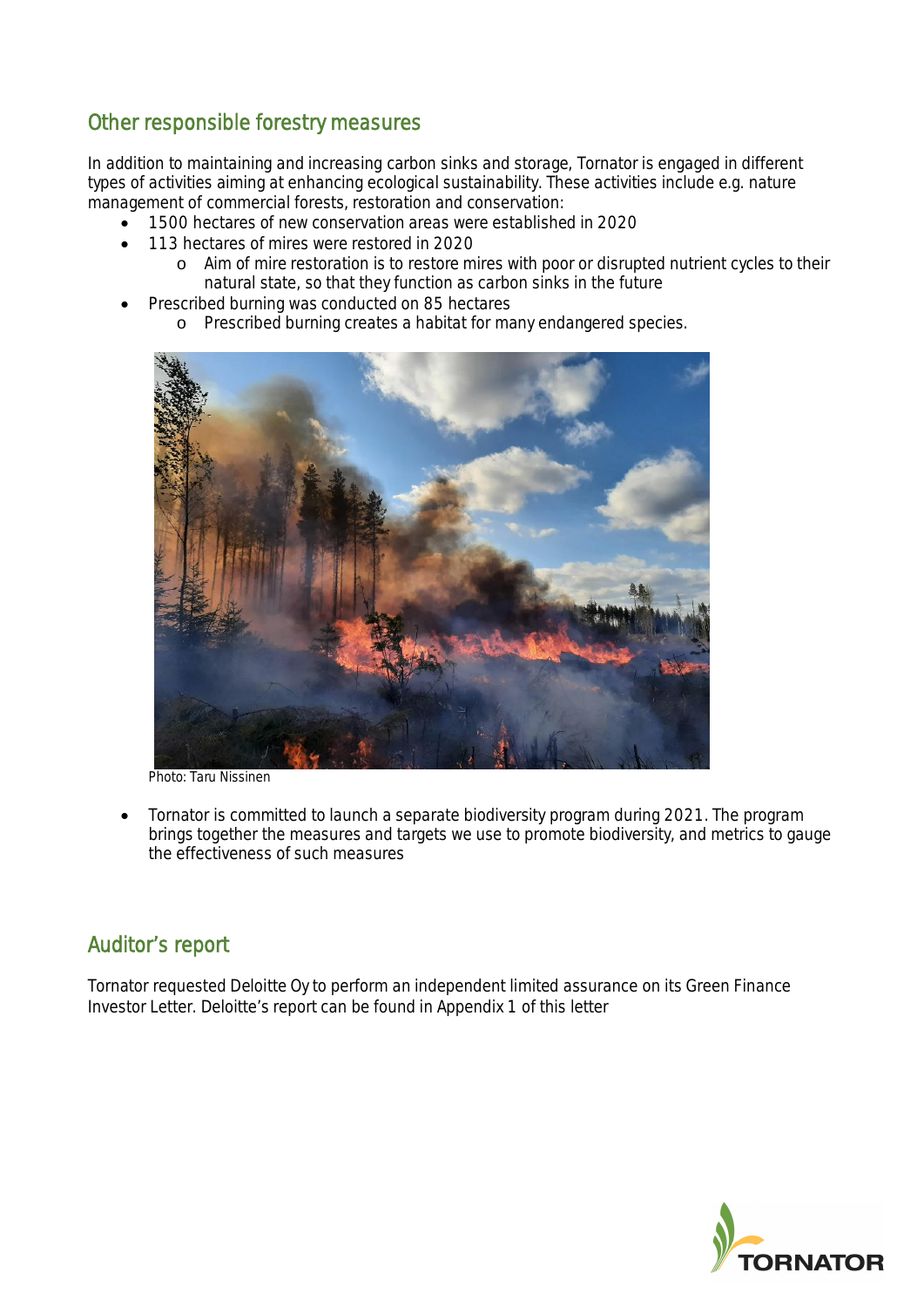# Other responsible forestry measures

In addition to maintaining and increasing carbon sinks and storage, Tornator is engaged in different types of activities aiming at enhancing ecological sustainability. These activities include e.g. nature management of commercial forests, restoration and conservation:

- · 1500 hectares of new conservation areas were established in 2020
- · 113 hectares of mires were restored in 2020
	- o Aim of mire restoration is to restore mires with poor or disrupted nutrient cycles to their natural state, so that they function as carbon sinks in the future
- Prescribed burning was conducted on 85 hectares
	- o Prescribed burning creates a habitat for many endangered species.



Photo: Taru Nissinen

· Tornator is committed to launch a separate biodiversity program during 2021. The program brings together the measures and targets we use to promote biodiversity, and metrics to gauge the effectiveness of such measures

# Auditor's report

Tornator requested Deloitte Oy to perform an independent limited assurance on its Green Finance Investor Letter. Deloitte's report can be found in Appendix 1 of this letter

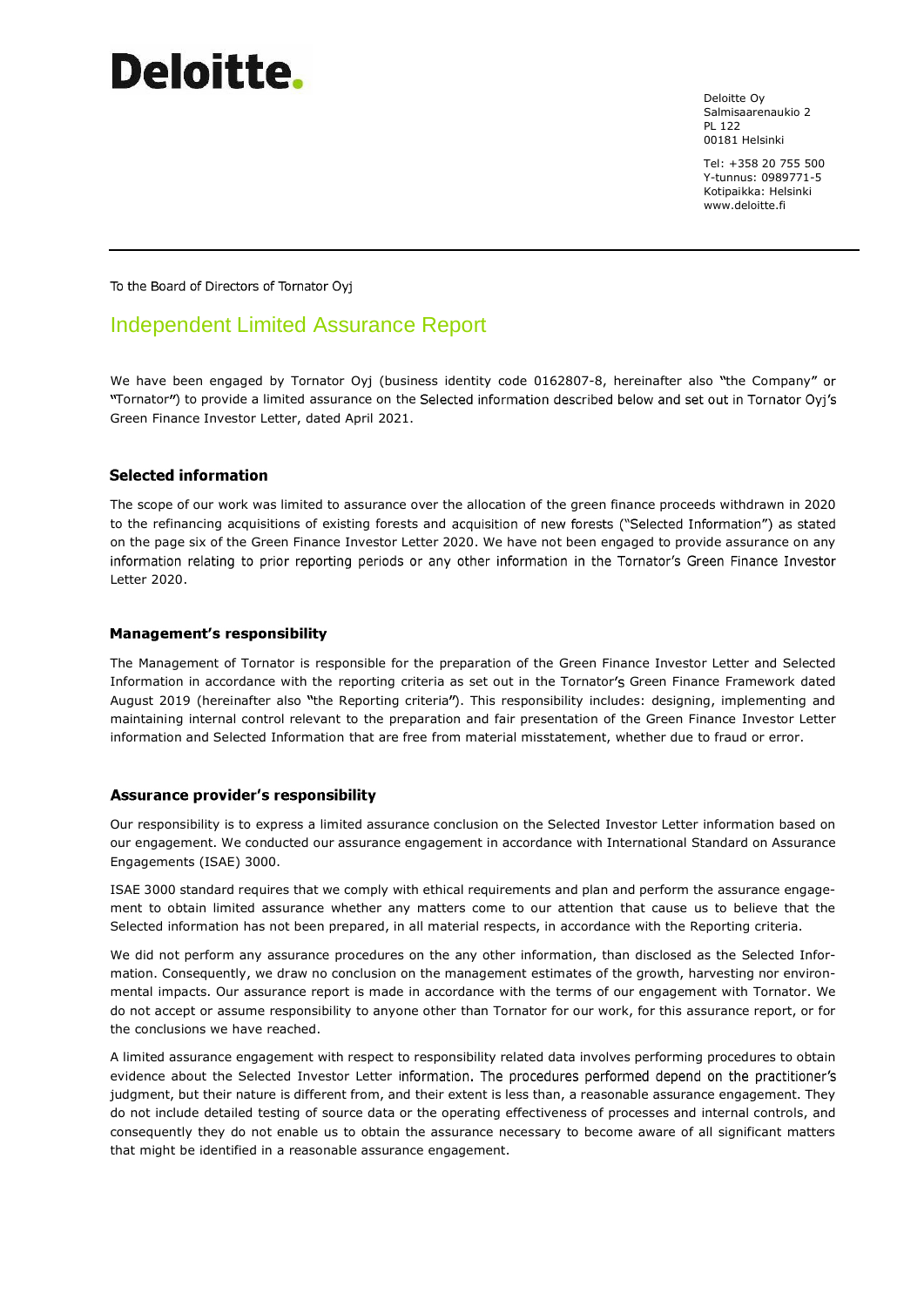# **Deloitte**.

Deloitte Oy Salmisaarenaukio 2 PL 122 00181 Helsinki

Tel: +358 20 755 500 Y-tunnus: 0989771-5 Kotipaikka: Helsinki www.deloitte.fi

To the Board of Directors of Tornator Oyj

# Independent Limited Assurance Report

We have been engaged by Tornator Oyj (business identity code 0162807-8, hereinafter also "the Company" or "Tornator") to provide a limited assurance on the Selected information described below and set out in Tornator Oyj's Green Finance Investor Letter, dated April 2021.

#### **Selected information**

The scope of our work was limited to assurance over the allocation of the green finance proceeds withdrawn in 2020 to the refinancing acquisitions of existing forests and acquisition of new forests ("Selected Information") as stated on the page six of the Green Finance Investor Letter 2020. We have not been engaged to provide assurance on any information relating to prior reporting periods or any other information in the Tornator's Green Finance Investor Letter 2020.

#### **Management's responsibility**

The Management of Tornator is responsible for the preparation of the Green Finance Investor Letter and Selected Information in accordance with the reporting criteria as set out in the Tornator Green Finance Framework dated August 2019 (hereinafter also "the Reporting criteria"). This responsibility includes: designing, implementing and maintaining internal control relevant to the preparation and fair presentation of the Green Finance Investor Letter information and Selected Information that are free from material misstatement, whether due to fraud or error.

#### **Assurance provider's responsibility**

Our responsibility is to express a limited assurance conclusion on the Selected Investor Letter information based on our engagement. We conducted our assurance engagement in accordance with International Standard on Assurance Engagements (ISAE) 3000.

ISAE 3000 standard requires that we comply with ethical requirements and plan and perform the assurance engagement to obtain limited assurance whether any matters come to our attention that cause us to believe that the Selected information has not been prepared, in all material respects, in accordance with the Reporting criteria.

We did not perform any assurance procedures on the any other information, than disclosed as the Selected Information. Consequently, we draw no conclusion on the management estimates of the growth, harvesting nor environmental impacts. Our assurance report is made in accordance with the terms of our engagement with Tornator. We do not accept or assume responsibility to anyone other than Tornator for our work, for this assurance report, or for the conclusions we have reached.

A limited assurance engagement with respect to responsibility related data involves performing procedures to obtain evidence about the Selected Investor Letter information. The procedures performed depend on the practitioner's judgment, but their nature is different from, and their extent is less than, a reasonable assurance engagement. They do not include detailed testing of source data or the operating effectiveness of processes and internal controls, and consequently they do not enable us to obtain the assurance necessary to become aware of all significant matters that might be identified in a reasonable assurance engagement.